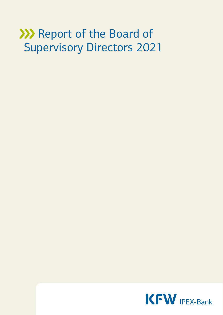# **XXX** Report of the Board of Supervisory Directors 2021

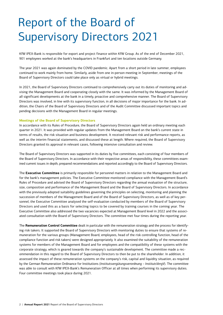# Report of the Board of Supervisory Directors 2021

KfW IPEX-Bank is responsible for export and project finance within KfW Group. As of the end of December 2021, 901 employees worked at the bank's headquarters in Frankfurt and ten locations outside Germany.

The year 2021 was again dominated by the COVID pandemic. Apart from a short period in late summer, employees continued to work mainly from home. Similarly, aside from one in-person meeting in September, meetings of the Board of Supervisory Directors could take place only as virtual or hybrid meetings.

In 2021, the Board of Supervisory Directors continued to comprehensively carry out its duties of monitoring and advising the Management Board and cooperating closely with the same. It was informed by the Management Board of all significant developments at the bank in a timely, proactive and comprehensive manner. The Board of Supervisory Directors was involved, in line with its supervisory function, in all decisions of major importance for the bank. In addition, the Chairs of the Board of Supervisory Directors and of the Audit Committee discussed important topics and pending decisions with the Management Board in regular meetings.

## **Meetings of the Board of Supervisory Directors**

In accordance with its Rules of Procedure, the Board of Supervisory Directors again held an ordinary meeting each quarter in 2021. It was provided with regular updates from the Management Board on the bank's current state in terms of results, the risk situation and business development. It received relevant risk and performance reports, as well as the interim financial statements, and discussed these at length. Where required, the Board of Supervisory Directors granted its approval in relevant cases, following intensive consultation and review.

The Board of Supervisory Directors was supported in its duties by five committees, each consisting of four members of the Board of Supervisory Directors. In accordance with their respective areas of responsibility, these committees examined current issues in depth, prepared recommendations and reported accordingly to the Board of Supervisory Directors.

The **Executive Committee** is primarily responsible for personnel matters in relation to the Management Board and for the bank's management policies. The Executive Committee monitored compliance with the Management Board's Rules of Procedure and advised the Board of Supervisory Directors regarding the annual evaluation of the structure, size, composition and performance of the Management Board and the Board of Supervisory Directors. In accordance with the previously adopted suitability guidelines governing the principles on selecting, monitoring and planning the succession of members of the Management Board and of the Board of Supervisory Directors, as well as of key personnel, the Executive Committee analysed the self-evaluation conducted by members of the Board of Supervisory Directors and used this as a basis for selecting topics to be covered by training courses in the coming year. The Executive Committee also addressed the two vacancies expected at Management Board level in 2022 and the associated consultation with the Board of Supervisory Directors. The committee met four times during the reporting year.

The **Remuneration Control Committee** dealt in particular with the remuneration strategy and the process for identifying risk takers. It supported the Board of Supervisory Directors with monitoring duties to ensure that systems of remuneration for the various groups (Management Board, employees, head of the risk controlling function, head of the compliance function and risk takers) were designed appropriately. It also examined the suitability of the remuneration systems for members of the Management Board and for employees and the compatibility of these systems with the corporate strategy, which is geared towards the company's sustainable development. The committee made a recommendation in this regard to the Board of Supervisory Directors to then be put to the shareholder. In addition, it assessed the impact of these remuneration systems on the company's risk, capital and liquidity situation, as required by the German Remuneration Ordinance for Institutions (*Institutsvergütungsverordnung – InstitutsVergV*). The committee was able to consult with KfW IPEX-Bank's Remuneration Officer at all times when performing its supervisory duties. Four committee meetings took place during 2021.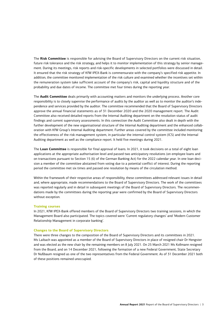The **Risk Committee** is responsible for advising the Board of Supervisory Directors on the current risk situation, future risk tolerance and the risk strategy, and helps it to monitor implementation of this strategy by senior management. During its meetings, risk reports and risk-specific developments in selected portfolios were discussed in detail. It ensured that the risk strategy of KfW IPEX-Bank is commensurate with the company's specified risk appetite. In addition, the committee monitored implementation of the risk culture and examined whether the incentives set within the remuneration system take sufficient account of the company's risk, capital and liquidity structure and of the probability and due dates of income. The committee met four times during the reporting year.

The **Audit Committee** deals primarily with accounting matters and monitors the underlying process. Another core responsibility is to closely supervise the performance of audits by the auditor as well as to monitor the auditor's independence and services provided by the auditor. The committee recommended that the Board of Supervisory Directors approve the annual financial statements as of 31 December 2020 and the 2020 management report. The Audit Committee also received detailed reports from the Internal Auditing department on the resolution status of audit findings and current supervisory assessments. In this connection the Audit Committee also dealt in depth with the further development of the new organisational structure of the Internal Auditing department and the enhanced collaboration with KfW Group's Internal Auditing department. Further areas covered by the committee included monitoring the effectiveness of the risk management system, in particular the internal control system (ICS) and the Internal Auditing department as well as the compliance report. It held five meetings during 2021.

The **Loan Committee** is responsible for final approval of loans. In 2021, it took decisions on a total of eight loan applications at the appropriate authorisation level and passed two anticipatory resolutions (on employee loans and on transactions pursuant to Section 15 (6) of the German Banking Act) for the 2022 calendar year. In one loan decision a member of the committee abstained from voting due to a potential conflict of interest. During the reporting period the committee met six times and passed one resolution by means of the circulation method.

Within the framework of their respective areas of responsibility, these committees addressed relevant issues in detail and, where appropriate, made recommendations to the Board of Supervisory Directors. The work of the committees was reported regularly and in detail in subsequent meetings of the Board of Supervisory Directors. The recommendations made by the committees during the reporting year were confirmed by the Board of Supervisory Directors without exception.

#### **Training courses**

In 2021, KfW IPEX-Bank offered members of the Board of Supervisory Directors two training sessions, in which the Management Board also participated. The topics covered were 'Current regulatory changes' and 'Modern Customer Relationship Management in corporate banking'.

#### **Changes to the Board of Supervisory Directors**

There were three changes to the composition of the Board of Supervisory Directors and its committees in 2021. Ms Laibach was appointed as a member of the Board of Supervisory Directors in place of resigned chair Dr Hengster and was elected as the new chair by the remaining members on 8 July 2021. On 25 March 2021 Ms Kollmann resigned from the Board, and on 14 December 2021, following the formation of a new Federal Government, State Secretary Dr Nußbaum resigned as one of the two representatives from the Federal Government. As of 31 December 2021 both of these positions remained unoccupied.